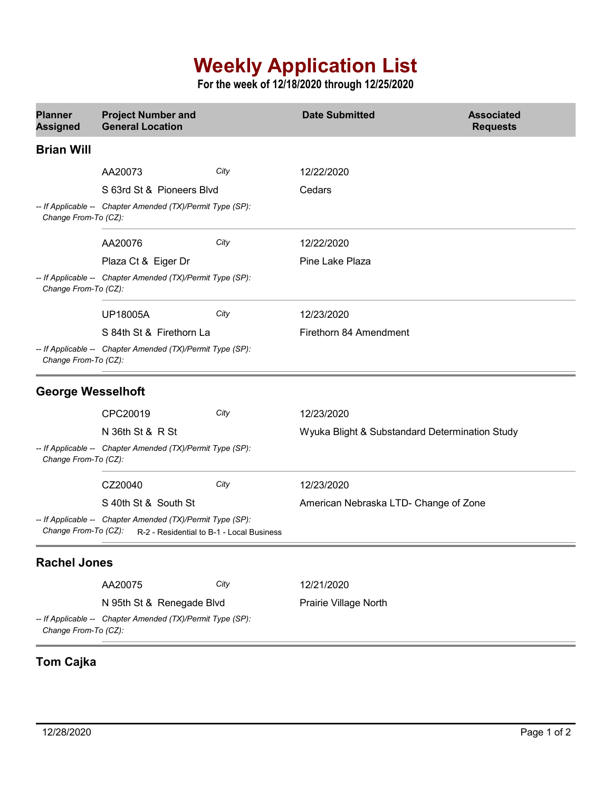## **Weekly Application List**

**For the week of 12/18/2020 through 12/25/2020**

| <b>Planner</b><br><b>Assigned</b>                                                  | <b>Project Number and</b><br><b>General Location</b>       |                                           | <b>Date Submitted</b>                          | <b>Associated</b><br><b>Requests</b> |
|------------------------------------------------------------------------------------|------------------------------------------------------------|-------------------------------------------|------------------------------------------------|--------------------------------------|
| <b>Brian Will</b>                                                                  |                                                            |                                           |                                                |                                      |
|                                                                                    | AA20073                                                    | City                                      | 12/22/2020                                     |                                      |
|                                                                                    | S 63rd St & Pioneers Blvd                                  |                                           | Cedars                                         |                                      |
| Change From-To (CZ):                                                               | -- If Applicable -- Chapter Amended (TX)/Permit Type (SP): |                                           |                                                |                                      |
|                                                                                    | AA20076                                                    | City                                      | 12/22/2020                                     |                                      |
|                                                                                    | Plaza Ct & Eiger Dr                                        |                                           | Pine Lake Plaza                                |                                      |
| Change From-To (CZ):                                                               | -- If Applicable -- Chapter Amended (TX)/Permit Type (SP): |                                           |                                                |                                      |
|                                                                                    | <b>UP18005A</b>                                            | City                                      | 12/23/2020                                     |                                      |
|                                                                                    | S 84th St & Firethorn La                                   |                                           | Firethorn 84 Amendment                         |                                      |
| Change From-To (CZ):                                                               | -- If Applicable -- Chapter Amended (TX)/Permit Type (SP): |                                           |                                                |                                      |
| <b>George Wesselhoft</b>                                                           |                                                            |                                           |                                                |                                      |
|                                                                                    | CPC20019                                                   | City                                      | 12/23/2020                                     |                                      |
|                                                                                    | N 36th St & R St                                           |                                           | Wyuka Blight & Substandard Determination Study |                                      |
| -- If Applicable -- Chapter Amended (TX)/Permit Type (SP):<br>Change From-To (CZ): |                                                            |                                           |                                                |                                      |
|                                                                                    | CZ20040                                                    | City                                      | 12/23/2020                                     |                                      |
|                                                                                    | S 40th St & South St                                       |                                           | American Nebraska LTD- Change of Zone          |                                      |
| Change From-To (CZ):                                                               | -- If Applicable -- Chapter Amended (TX)/Permit Type (SP): | R-2 - Residential to B-1 - Local Business |                                                |                                      |
| <b>Rachel Jones</b>                                                                |                                                            |                                           |                                                |                                      |
|                                                                                    | AA20075                                                    | City                                      | 12/21/2020                                     |                                      |
|                                                                                    | N 95th St & Renegade Blvd                                  |                                           | Prairie Village North                          |                                      |
| Change From-To (CZ):                                                               | -- If Applicable -- Chapter Amended (TX)/Permit Type (SP): |                                           |                                                |                                      |

## **Tom Cajka**